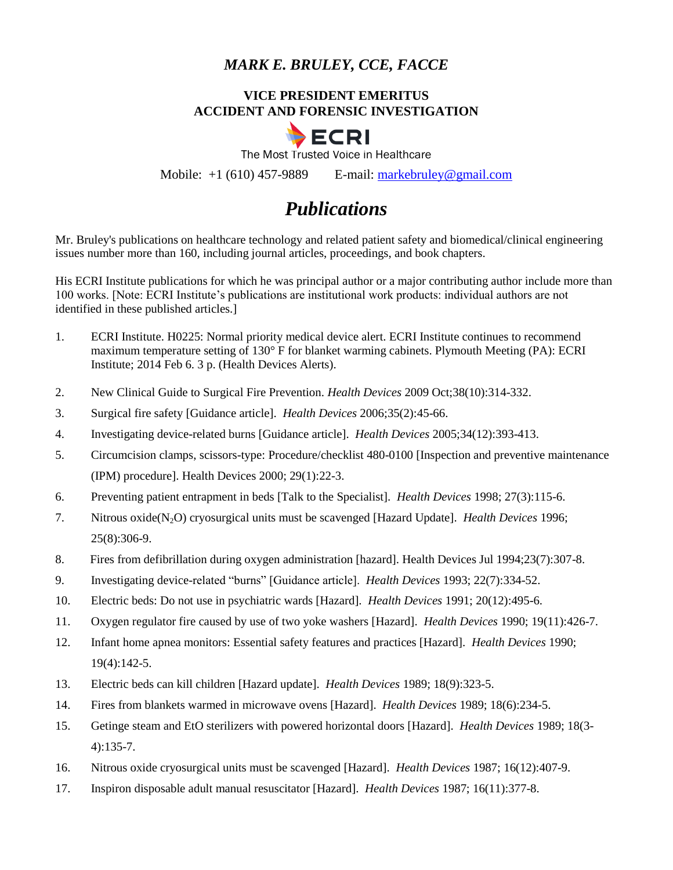### *MARK E. BRULEY, CCE, FACCE*

#### **VICE PRESIDENT EMERITUS ACCIDENT AND FORENSIC INVESTIGATION**

# **ECRI**

The Most Trusted Voice in Healthcare

Mobile:  $+1$  (610) 457-9889 E-mail:  $\frac{\text{markebruley}\omega\text{gmail.com}}{\text{markebruley}\omega\text{gmail.com}}$ 

# *Publications*

Mr. Bruley's publications on healthcare technology and related patient safety and biomedical/clinical engineering issues number more than 160, including journal articles, proceedings, and book chapters.

His ECRI Institute publications for which he was principal author or a major contributing author include more than 100 works. [Note: ECRI Institute's publications are institutional work products: individual authors are not identified in these published articles.]

- 1. ECRI Institute. H0225: Normal priority medical device alert. ECRI Institute continues to recommend maximum temperature setting of 130° F for blanket warming cabinets. Plymouth Meeting (PA): ECRI Institute; 2014 Feb 6. 3 p. (Health Devices Alerts).
- 2. New Clinical Guide to Surgical Fire Prevention. *Health Devices* 2009 Oct;38(10):314-332.
- 3. Surgical fire safety [Guidance article]. *Health Devices* 2006;35(2):45-66.
- 4. Investigating device-related burns [Guidance article]. *Health Devices* 2005;34(12):393-413.
- 5. Circumcision clamps, scissors-type: Procedure/checklist 480-0100 [Inspection and preventive maintenance (IPM) procedure]. Health Devices 2000; 29(1):22-3.
- 6. Preventing patient entrapment in beds [Talk to the Specialist]. *Health Devices* 1998; 27(3):115-6.
- 7. Nitrous oxide(N2O) cryosurgical units must be scavenged [Hazard Update]. *Health Devices* 1996; 25(8):306-9.
- 8. Fires from defibrillation during oxygen administration [hazard]. Health Devices Jul 1994;23(7):307-8.
- 9. Investigating device-related "burns" [Guidance article]. *Health Devices* 1993; 22(7):334-52.
- 10. Electric beds: Do not use in psychiatric wards [Hazard]. *Health Devices* 1991; 20(12):495-6.
- 11. Oxygen regulator fire caused by use of two yoke washers [Hazard]. *Health Devices* 1990; 19(11):426-7.
- 12. Infant home apnea monitors: Essential safety features and practices [Hazard]. *Health Devices* 1990; 19(4):142-5.
- 13. Electric beds can kill children [Hazard update]. *Health Devices* 1989; 18(9):323-5.
- 14. Fires from blankets warmed in microwave ovens [Hazard]. *Health Devices* 1989; 18(6):234-5.
- 15. Getinge steam and EtO sterilizers with powered horizontal doors [Hazard]. *Health Devices* 1989; 18(3- 4):135-7.
- 16. Nitrous oxide cryosurgical units must be scavenged [Hazard]. *Health Devices* 1987; 16(12):407-9.
- 17. Inspiron disposable adult manual resuscitator [Hazard]. *Health Devices* 1987; 16(11):377-8.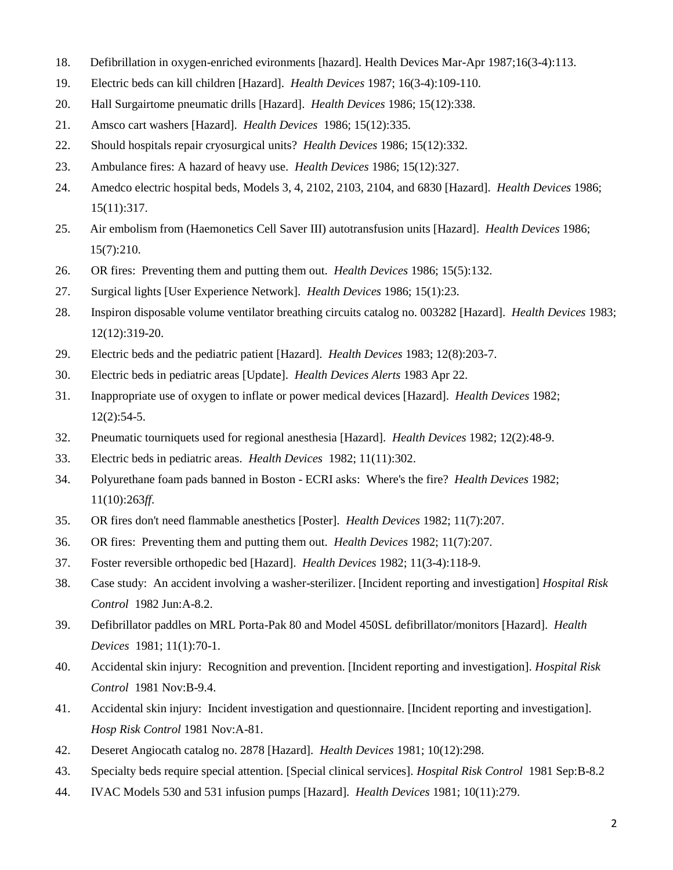- 18. Defibrillation in oxygen-enriched evironments [hazard]. Health Devices Mar-Apr 1987;16(3-4):113.
- 19. Electric beds can kill children [Hazard]. *Health Devices* 1987; 16(3-4):109-110.
- 20. Hall Surgairtome pneumatic drills [Hazard]. *Health Devices* 1986; 15(12):338.
- 21. Amsco cart washers [Hazard]. *Health Devices* 1986; 15(12):335.
- 22. Should hospitals repair cryosurgical units? *Health Devices* 1986; 15(12):332.
- 23. Ambulance fires: A hazard of heavy use. *Health Devices* 1986; 15(12):327.
- 24. Amedco electric hospital beds, Models 3, 4, 2102, 2103, 2104, and 6830 [Hazard]. *Health Devices* 1986; 15(11):317.
- 25. Air embolism from (Haemonetics Cell Saver III) autotransfusion units [Hazard]. *Health Devices* 1986; 15(7):210.
- 26. OR fires: Preventing them and putting them out. *Health Devices* 1986; 15(5):132.
- 27. Surgical lights [User Experience Network]. *Health Devices* 1986; 15(1):23.
- 28. Inspiron disposable volume ventilator breathing circuits catalog no. 003282 [Hazard]. *Health Devices* 1983; 12(12):319-20.
- 29. Electric beds and the pediatric patient [Hazard]. *Health Devices* 1983; 12(8):203-7.
- 30. Electric beds in pediatric areas [Update]. *Health Devices Alerts* 1983 Apr 22.
- 31. Inappropriate use of oxygen to inflate or power medical devices [Hazard]. *Health Devices* 1982; 12(2):54-5.
- 32. Pneumatic tourniquets used for regional anesthesia [Hazard]. *Health Devices* 1982; 12(2):48-9.
- 33. Electric beds in pediatric areas. *Health Devices* 1982; 11(11):302.
- 34. Polyurethane foam pads banned in Boston ECRI asks: Where's the fire? *Health Devices* 1982; 11(10):263*ff*.
- 35. OR fires don't need flammable anesthetics [Poster]. *Health Devices* 1982; 11(7):207.
- 36. OR fires: Preventing them and putting them out. *Health Devices* 1982; 11(7):207.
- 37. Foster reversible orthopedic bed [Hazard]. *Health Devices* 1982; 11(3-4):118-9.
- 38. Case study: An accident involving a washer-sterilizer. [Incident reporting and investigation] *Hospital Risk Control* 1982 Jun:A-8.2.
- 39. Defibrillator paddles on MRL Porta-Pak 80 and Model 450SL defibrillator/monitors [Hazard]. *Health Devices* 1981; 11(1):70-1.
- 40. Accidental skin injury: Recognition and prevention. [Incident reporting and investigation]. *Hospital Risk Control* 1981 Nov:B-9.4.
- 41. Accidental skin injury: Incident investigation and questionnaire. [Incident reporting and investigation]. *Hosp Risk Control* 1981 Nov:A-81.
- 42. Deseret Angiocath catalog no. 2878 [Hazard]. *Health Devices* 1981; 10(12):298.
- 43. Specialty beds require special attention. [Special clinical services]. *Hospital Risk Control* 1981 Sep:B-8.2
- 44. IVAC Models 530 and 531 infusion pumps [Hazard]. *Health Devices* 1981; 10(11):279.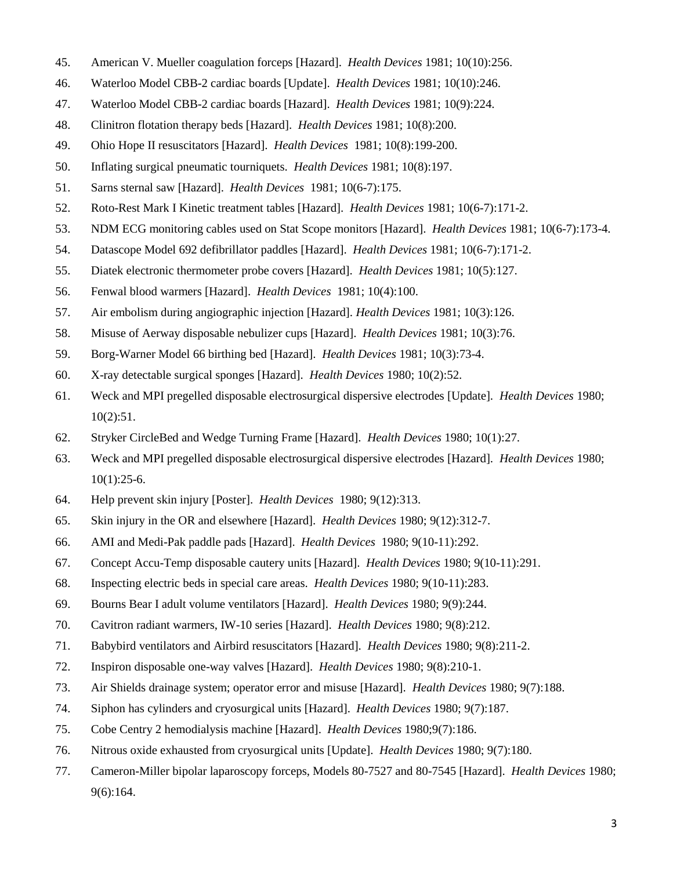- 45. American V. Mueller coagulation forceps [Hazard]. *Health Devices* 1981; 10(10):256.
- 46. Waterloo Model CBB-2 cardiac boards [Update]. *Health Devices* 1981; 10(10):246.
- 47. Waterloo Model CBB-2 cardiac boards [Hazard]. *Health Devices* 1981; 10(9):224.
- 48. Clinitron flotation therapy beds [Hazard]. *Health Devices* 1981; 10(8):200.
- 49. Ohio Hope II resuscitators [Hazard]. *Health Devices* 1981; 10(8):199-200.
- 50. Inflating surgical pneumatic tourniquets. *Health Devices* 1981; 10(8):197.
- 51. Sarns sternal saw [Hazard]. *Health Devices* 1981; 10(6-7):175.
- 52. Roto-Rest Mark I Kinetic treatment tables [Hazard]. *Health Devices* 1981; 10(6-7):171-2.
- 53. NDM ECG monitoring cables used on Stat Scope monitors [Hazard]. *Health Devices* 1981; 10(6-7):173-4.
- 54. Datascope Model 692 defibrillator paddles [Hazard]. *Health Devices* 1981; 10(6-7):171-2.
- 55. Diatek electronic thermometer probe covers [Hazard]. *Health Devices* 1981; 10(5):127.
- 56. Fenwal blood warmers [Hazard]. *Health Devices* 1981; 10(4):100.
- 57. Air embolism during angiographic injection [Hazard]. *Health Devices* 1981; 10(3):126.
- 58. Misuse of Aerway disposable nebulizer cups [Hazard]. *Health Devices* 1981; 10(3):76.
- 59. Borg-Warner Model 66 birthing bed [Hazard]. *Health Devices* 1981; 10(3):73-4.
- 60. X-ray detectable surgical sponges [Hazard]. *Health Devices* 1980; 10(2):52.
- 61. Weck and MPI pregelled disposable electrosurgical dispersive electrodes [Update]. *Health Devices* 1980; 10(2):51.
- 62. Stryker CircleBed and Wedge Turning Frame [Hazard]. *Health Devices* 1980; 10(1):27.
- 63. Weck and MPI pregelled disposable electrosurgical dispersive electrodes [Hazard]. *Health Devices* 1980;  $10(1):25-6.$
- 64. Help prevent skin injury [Poster]. *Health Devices* 1980; 9(12):313.
- 65. Skin injury in the OR and elsewhere [Hazard]. *Health Devices* 1980; 9(12):312-7.
- 66. AMI and Medi-Pak paddle pads [Hazard]. *Health Devices* 1980; 9(10-11):292.
- 67. Concept Accu-Temp disposable cautery units [Hazard]. *Health Devices* 1980; 9(10-11):291.
- 68. Inspecting electric beds in special care areas. *Health Devices* 1980; 9(10-11):283.
- 69. Bourns Bear I adult volume ventilators [Hazard]. *Health Devices* 1980; 9(9):244.
- 70. Cavitron radiant warmers, IW-10 series [Hazard]. *Health Devices* 1980; 9(8):212.
- 71. Babybird ventilators and Airbird resuscitators [Hazard]. *Health Devices* 1980; 9(8):211-2.
- 72. Inspiron disposable one-way valves [Hazard]. *Health Devices* 1980; 9(8):210-1.
- 73. Air Shields drainage system; operator error and misuse [Hazard]. *Health Devices* 1980; 9(7):188.
- 74. Siphon has cylinders and cryosurgical units [Hazard]. *Health Devices* 1980; 9(7):187.
- 75. Cobe Centry 2 hemodialysis machine [Hazard]. *Health Devices* 1980;9(7):186.
- 76. Nitrous oxide exhausted from cryosurgical units [Update]. *Health Devices* 1980; 9(7):180.
- 77. Cameron-Miller bipolar laparoscopy forceps, Models 80-7527 and 80-7545 [Hazard]. *Health Devices* 1980; 9(6):164.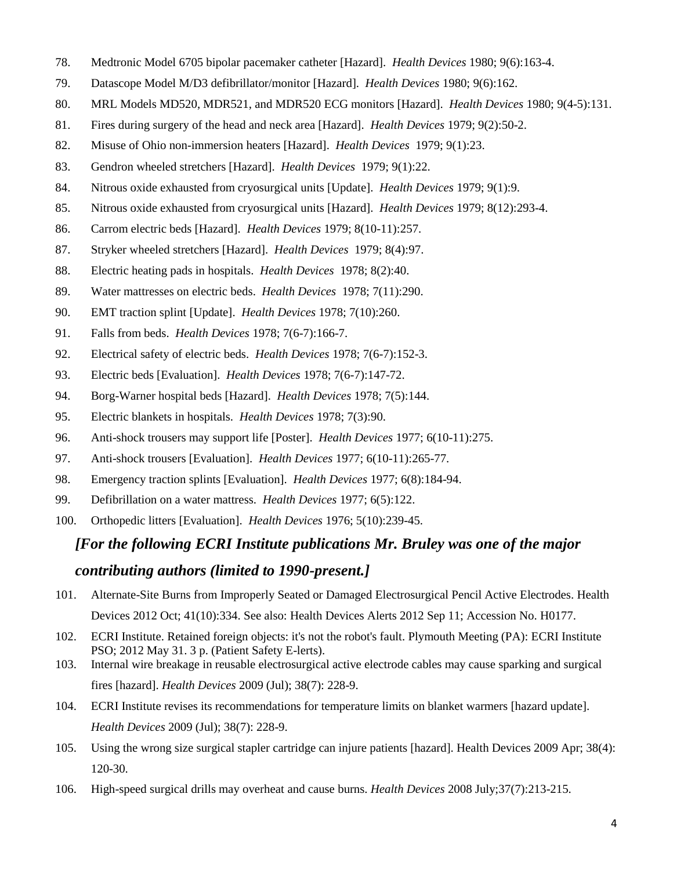- 78. Medtronic Model 6705 bipolar pacemaker catheter [Hazard]. *Health Devices* 1980; 9(6):163-4.
- 79. Datascope Model M/D3 defibrillator/monitor [Hazard]. *Health Devices* 1980; 9(6):162.
- 80. MRL Models MD520, MDR521, and MDR520 ECG monitors [Hazard]. *Health Devices* 1980; 9(4-5):131.
- 81. Fires during surgery of the head and neck area [Hazard]. *Health Devices* 1979; 9(2):50-2.
- 82. Misuse of Ohio non-immersion heaters [Hazard]. *Health Devices* 1979; 9(1):23.
- 83. Gendron wheeled stretchers [Hazard]. *Health Devices* 1979; 9(1):22.
- 84. Nitrous oxide exhausted from cryosurgical units [Update]. *Health Devices* 1979; 9(1):9.
- 85. Nitrous oxide exhausted from cryosurgical units [Hazard]. *Health Devices* 1979; 8(12):293-4.
- 86. Carrom electric beds [Hazard]. *Health Devices* 1979; 8(10-11):257.
- 87. Stryker wheeled stretchers [Hazard]. *Health Devices* 1979; 8(4):97.
- 88. Electric heating pads in hospitals. *Health Devices* 1978; 8(2):40.
- 89. Water mattresses on electric beds. *Health Devices* 1978; 7(11):290.
- 90. EMT traction splint [Update]. *Health Devices* 1978; 7(10):260.
- 91. Falls from beds. *Health Devices* 1978; 7(6-7):166-7.
- 92. Electrical safety of electric beds. *Health Devices* 1978; 7(6-7):152-3.
- 93. Electric beds [Evaluation]. *Health Devices* 1978; 7(6-7):147-72.
- 94. Borg-Warner hospital beds [Hazard]. *Health Devices* 1978; 7(5):144.
- 95. Electric blankets in hospitals. *Health Devices* 1978; 7(3):90.
- 96. Anti-shock trousers may support life [Poster]. *Health Devices* 1977; 6(10-11):275.
- 97. Anti-shock trousers [Evaluation]. *Health Devices* 1977; 6(10-11):265-77.
- 98. Emergency traction splints [Evaluation]. *Health Devices* 1977; 6(8):184-94.
- 99. Defibrillation on a water mattress. *Health Devices* 1977; 6(5):122.
- 100. Orthopedic litters [Evaluation]. *Health Devices* 1976; 5(10):239-45.

## *[For the following ECRI Institute publications Mr. Bruley was one of the major*

#### *contributing authors (limited to 1990-present.]*

- 101. Alternate-Site Burns from Improperly Seated or Damaged Electrosurgical Pencil Active Electrodes. Health Devices 2012 Oct; 41(10):334. See also: Health Devices Alerts 2012 Sep 11; Accession No. H0177.
- 102. ECRI Institute. Retained foreign objects: it's not the robot's fault. Plymouth Meeting (PA): ECRI Institute PSO; 2012 May 31. 3 p. (Patient Safety E-lerts).
- 103. Internal wire breakage in reusable electrosurgical active electrode cables may cause sparking and surgical fires [hazard]. *Health Devices* 2009 (Jul); 38(7): 228-9.
- 104. ECRI Institute revises its recommendations for temperature limits on blanket warmers [hazard update]. *Health Devices* 2009 (Jul); 38(7): 228-9.
- 105. Using the wrong size surgical stapler cartridge can injure patients [hazard]. Health Devices 2009 Apr; 38(4): 120-30.
- 106. High-speed surgical drills may overheat and cause burns. *Health Devices* 2008 July;37(7):213-215.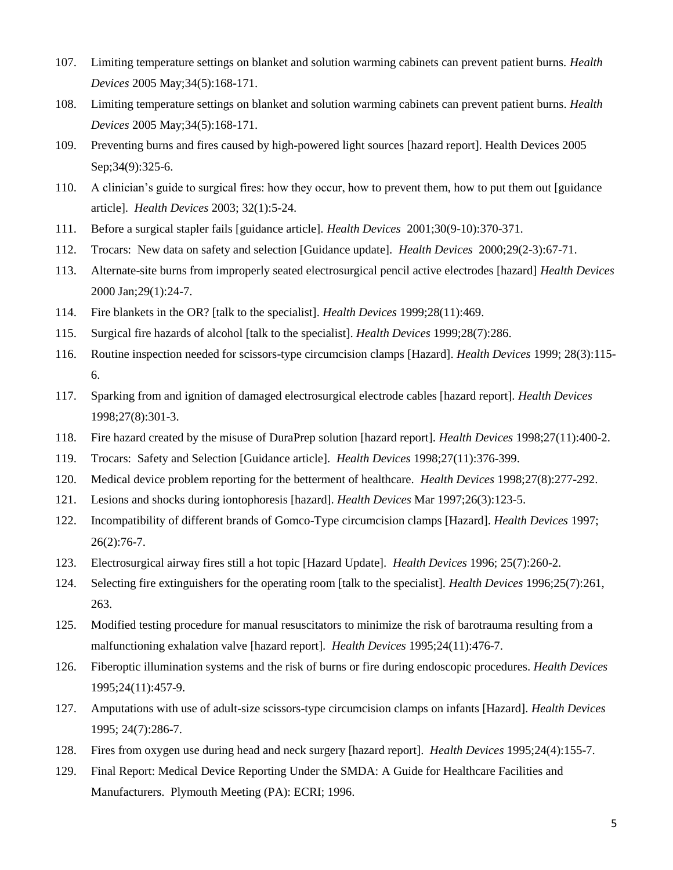- 107. Limiting temperature settings on blanket and solution warming cabinets can prevent patient burns. *Health Devices* 2005 May;34(5):168-171.
- 108. Limiting temperature settings on blanket and solution warming cabinets can prevent patient burns. *Health Devices* 2005 May;34(5):168-171.
- 109. Preventing burns and fires caused by high-powered light sources [hazard report]. Health Devices 2005 Sep;34(9):325-6.
- 110. A clinician's guide to surgical fires: how they occur, how to prevent them, how to put them out [guidance article]. *Health Devices* 2003; 32(1):5-24.
- 111. Before a surgical stapler fails [guidance article]. *Health Devices* 2001;30(9-10):370-371.
- 112. Trocars: New data on safety and selection [Guidance update]. *Health Devices* 2000;29(2-3):67-71.
- 113. Alternate-site burns from improperly seated electrosurgical pencil active electrodes [hazard] *Health Devices* 2000 Jan;29(1):24-7.
- 114. Fire blankets in the OR? [talk to the specialist]. *Health Devices* 1999;28(11):469.
- 115. Surgical fire hazards of alcohol [talk to the specialist]. *Health Devices* 1999;28(7):286.
- 116. Routine inspection needed for scissors-type circumcision clamps [Hazard]. *Health Devices* 1999; 28(3):115- 6.
- 117. Sparking from and ignition of damaged electrosurgical electrode cables [hazard report]. *Health Devices* 1998;27(8):301-3.
- 118. Fire hazard created by the misuse of DuraPrep solution [hazard report]. *Health Devices* 1998;27(11):400-2.
- 119. Trocars: Safety and Selection [Guidance article]. *Health Devices* 1998;27(11):376-399.
- 120. Medical device problem reporting for the betterment of healthcare. *Health Devices* 1998;27(8):277-292.
- 121. Lesions and shocks during iontophoresis [hazard]. *Health Devices* Mar 1997;26(3):123-5.
- 122. Incompatibility of different brands of Gomco-Type circumcision clamps [Hazard]. *Health Devices* 1997;  $26(2):76-7.$
- 123. Electrosurgical airway fires still a hot topic [Hazard Update]. *Health Devices* 1996; 25(7):260-2.
- 124. Selecting fire extinguishers for the operating room [talk to the specialist]. *Health Devices* 1996;25(7):261, 263.
- 125. Modified testing procedure for manual resuscitators to minimize the risk of barotrauma resulting from a malfunctioning exhalation valve [hazard report]. *Health Devices* 1995;24(11):476-7.
- 126. Fiberoptic illumination systems and the risk of burns or fire during endoscopic procedures. *Health Devices* 1995;24(11):457-9.
- 127. Amputations with use of adult-size scissors-type circumcision clamps on infants [Hazard]. *Health Devices* 1995; 24(7):286-7.
- 128. Fires from oxygen use during head and neck surgery [hazard report]. *Health Devices* 1995;24(4):155-7.
- 129. Final Report: Medical Device Reporting Under the SMDA: A Guide for Healthcare Facilities and Manufacturers. Plymouth Meeting (PA): ECRI; 1996.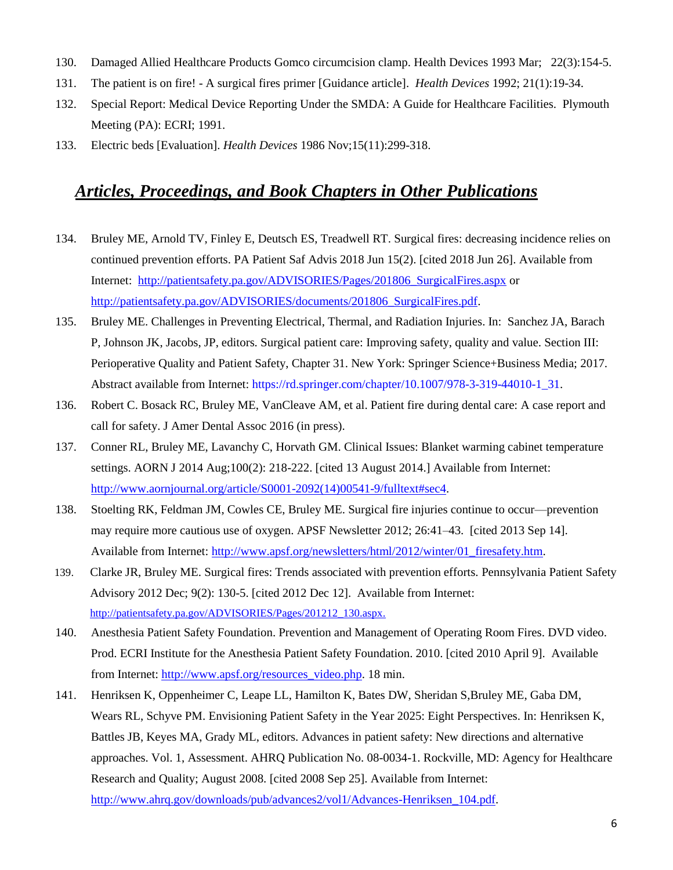- 130. Damaged Allied Healthcare Products Gomco circumcision clamp. Health Devices 1993 Mar; 22(3):154-5.
- 131. The patient is on fire! A surgical fires primer [Guidance article]. *Health Devices* 1992; 21(1):19-34.
- 132. Special Report: Medical Device Reporting Under the SMDA: A Guide for Healthcare Facilities. Plymouth Meeting (PA): ECRI; 1991.
- 133. Electric beds [Evaluation]. *Health Devices* 1986 Nov;15(11):299-318.

### *Articles, Proceedings, and Book Chapters in Other Publications*

- 134. Bruley ME, Arnold TV, Finley E, Deutsch ES, Treadwell RT. Surgical fires: decreasing incidence relies on continued prevention efforts. PA Patient Saf Advis 2018 Jun 15(2). [cited 2018 Jun 26]. Available from Internet: [http://patientsafety.pa.gov/ADVISORIES/Pages/201806\\_SurgicalFires.aspx](http://patientsafety.pa.gov/ADVISORIES/Pages/201806_SurgicalFires.aspx) or [http://patientsafety.pa.gov/ADVISORIES/documents/201806\\_SurgicalFires.pdf.](http://patientsafety.pa.gov/ADVISORIES/documents/201806_SurgicalFires.pdf)
- 135. Bruley ME. Challenges in Preventing Electrical, Thermal, and Radiation Injuries. In: Sanchez JA, Barach P, Johnson JK, Jacobs, JP, editors. Surgical patient care: Improving safety, quality and value. Section III: Perioperative Quality and Patient Safety, Chapter 31. New York: Springer Science+Business Media; 2017. Abstract available from Internet: https://rd.springer.com/chapter/10.1007/978-3-319-44010-1\_31.
- 136. Robert C. Bosack RC, Bruley ME, VanCleave AM, et al. Patient fire during dental care: A case report and call for safety. J Amer Dental Assoc 2016 (in press).
- 137. Conner RL, Bruley ME, Lavanchy C, Horvath GM. Clinical Issues: Blanket warming cabinet temperature settings. AORN J 2014 Aug;100(2): 218-222. [cited 13 August 2014.] Available from Internet: [http://www.aornjournal.org/article/S0001-2092\(14\)00541-9/fulltext#sec4.](http://www.aornjournal.org/article/S0001-2092(14)00541-9/fulltext#sec4)
- 138. Stoelting RK, Feldman JM, Cowles CE, Bruley ME. Surgical fire injuries continue to occur—prevention may require more cautious use of oxygen. APSF Newsletter 2012; 26:41–43. [cited 2013 Sep 14]. Available from Internet: [http://www.apsf.org/newsletters/html/2012/winter/01\\_firesafety.htm.](http://www.apsf.org/newsletters/html/2012/winter/01_firesafety.htm)
- 139. Clarke JR, Bruley ME. Surgical fires: Trends associated with prevention efforts. Pennsylvania Patient Safety Advisory 2012 Dec; 9(2): 130-5. [cited 2012 Dec 12]. Available from Internet: [http://patientsafety.pa.gov/ADVISORIES/Pages/201212\\_130.aspx.](http://patientsafety.pa.gov/ADVISORIES/Pages/201212_130.aspx)
- 140. Anesthesia Patient Safety Foundation. Prevention and Management of Operating Room Fires. DVD video. Prod. ECRI Institute for the Anesthesia Patient Safety Foundation. 2010. [cited 2010 April 9]. Available from Internet: [http://www.apsf.org/resources\\_video.php.](http://www.apsf.org/resources_video.php) 18 min.
- 141. Henriksen K, Oppenheimer C, Leape LL, Hamilton K, Bates DW, Sheridan S,Bruley ME, Gaba DM, Wears RL, Schyve PM. Envisioning Patient Safety in the Year 2025: Eight Perspectives. In: Henriksen K, Battles JB, Keyes MA, Grady ML, editors. Advances in patient safety: New directions and alternative approaches. Vol. 1, Assessment. AHRQ Publication No. 08-0034-1. Rockville, MD: Agency for Healthcare Research and Quality; August 2008. [cited 2008 Sep 25]. Available from Internet: [http://www.ahrq.gov/downloads/pub/advances2/vol1/Advances-Henriksen\\_104.pdf.](http://www.ahrq.gov/downloads/pub/advances2/vol1/Advances-Henriksen_104.pdf)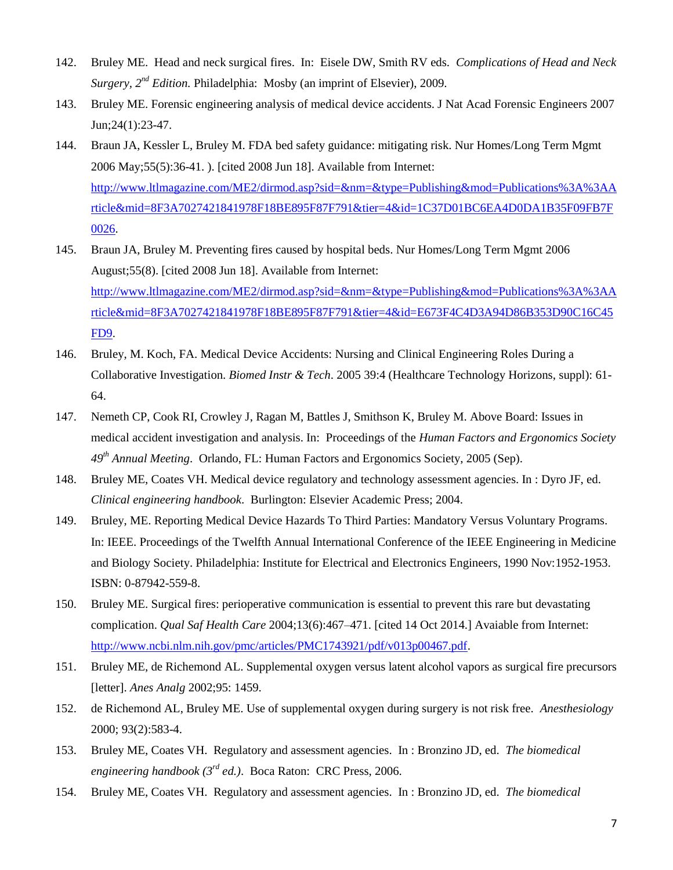- 142. Bruley ME. Head and neck surgical fires. In: Eisele DW, Smith RV eds. *Complications of Head and Neck Surgery, 2nd Edition.* Philadelphia: Mosby (an imprint of Elsevier), 2009.
- 143. Bruley ME. Forensic engineering analysis of medical device accidents. J Nat Acad Forensic Engineers 2007 Jun;24(1):23-47.
- 144. Braun JA, Kessler L, Bruley M. FDA bed safety guidance: mitigating risk. Nur Homes/Long Term Mgmt 2006 May;55(5):36-41. ). [cited 2008 Jun 18]. Available from Internet: [http://www.ltlmagazine.com/ME2/dirmod.asp?sid=&nm=&type=Publishing&mod=Publications%3A%3AA](http://www.ltlmagazine.com/ME2/dirmod.asp?sid=&nm=&type=Publishing&mod=Publications%3A%3AArticle&mid=8F3A7027421841978F18BE895F87F791&tier=4&id=1C37D01BC6EA4D0DA1B35F09FB7F0026) [rticle&mid=8F3A7027421841978F18BE895F87F791&tier=4&id=1C37D01BC6EA4D0DA1B35F09FB7F](http://www.ltlmagazine.com/ME2/dirmod.asp?sid=&nm=&type=Publishing&mod=Publications%3A%3AArticle&mid=8F3A7027421841978F18BE895F87F791&tier=4&id=1C37D01BC6EA4D0DA1B35F09FB7F0026) [0026.](http://www.ltlmagazine.com/ME2/dirmod.asp?sid=&nm=&type=Publishing&mod=Publications%3A%3AArticle&mid=8F3A7027421841978F18BE895F87F791&tier=4&id=1C37D01BC6EA4D0DA1B35F09FB7F0026)
- 145. Braun JA, Bruley M. Preventing fires caused by hospital beds. Nur Homes/Long Term Mgmt 2006 August;55(8). [cited 2008 Jun 18]. Available from Internet: [http://www.ltlmagazine.com/ME2/dirmod.asp?sid=&nm=&type=Publishing&mod=Publications%3A%3AA](http://www.ltlmagazine.com/ME2/dirmod.asp?sid=&nm=&type=Publishing&mod=Publications%3A%3AArticle&mid=8F3A7027421841978F18BE895F87F791&tier=4&id=E673F4C4D3A94D86B353D90C16C45FD9) [rticle&mid=8F3A7027421841978F18BE895F87F791&tier=4&id=E673F4C4D3A94D86B353D90C16C45](http://www.ltlmagazine.com/ME2/dirmod.asp?sid=&nm=&type=Publishing&mod=Publications%3A%3AArticle&mid=8F3A7027421841978F18BE895F87F791&tier=4&id=E673F4C4D3A94D86B353D90C16C45FD9) [FD9.](http://www.ltlmagazine.com/ME2/dirmod.asp?sid=&nm=&type=Publishing&mod=Publications%3A%3AArticle&mid=8F3A7027421841978F18BE895F87F791&tier=4&id=E673F4C4D3A94D86B353D90C16C45FD9)
- 146. Bruley, M. Koch, FA. Medical Device Accidents: Nursing and Clinical Engineering Roles During a Collaborative Investigation. *Biomed Instr & Tech*. 2005 39:4 (Healthcare Technology Horizons, suppl): 61- 64.
- 147. Nemeth CP, Cook RI, Crowley J, Ragan M, Battles J, Smithson K, Bruley M. Above Board: Issues in medical accident investigation and analysis. In: Proceedings of the *Human Factors and Ergonomics Society 49th Annual Meeting*. Orlando, FL: Human Factors and Ergonomics Society, 2005 (Sep).
- 148. Bruley ME, Coates VH. Medical device regulatory and technology assessment agencies. In : Dyro JF, ed. *Clinical engineering handbook*. Burlington: Elsevier Academic Press; 2004.
- 149. Bruley, ME. Reporting Medical Device Hazards To Third Parties: Mandatory Versus Voluntary Programs. In: IEEE. Proceedings of the Twelfth Annual International Conference of the IEEE Engineering in Medicine and Biology Society. Philadelphia: Institute for Electrical and Electronics Engineers, 1990 Nov:1952-1953. ISBN: 0-87942-559-8.
- 150. Bruley ME. Surgical fires: perioperative communication is essential to prevent this rare but devastating complication. *Qual Saf Health Care* 2004;13(6):467–471. [cited 14 Oct 2014.] Avaiable from Internet: [http://www.ncbi.nlm.nih.gov/pmc/articles/PMC1743921/pdf/v013p00467.pdf.](http://www.ncbi.nlm.nih.gov/pmc/articles/PMC1743921/pdf/v013p00467.pdf)
- 151. Bruley ME, de Richemond AL. Supplemental oxygen versus latent alcohol vapors as surgical fire precursors [letter]. *Anes Analg* 2002;95: 1459.
- 152. de Richemond AL, Bruley ME. Use of supplemental oxygen during surgery is not risk free. *Anesthesiology* 2000; 93(2):583-4.
- 153. Bruley ME, Coates VH. Regulatory and assessment agencies. In : Bronzino JD, ed. *The biomedical engineering handbook (3rd ed.)*. Boca Raton: CRC Press, 2006.
- 154. Bruley ME, Coates VH. Regulatory and assessment agencies. In : Bronzino JD, ed. *The biomedical*